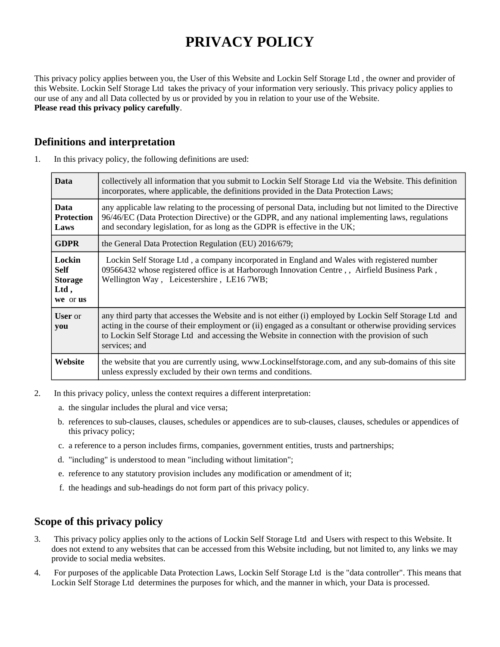# **PRIVACY POLICY**

This privacy policy applies between you, the User of this Website and Lockin Self Storage Ltd , the owner and provider of this Website. Lockin Self Storage Ltd takes the privacy of your information very seriously. This privacy policy applies to our use of any and all Data collected by us or provided by you in relation to your use of the Website. **Please read this privacy policy carefully**.

## **Definitions and interpretation**

| <b>Data</b>                                                 | collectively all information that you submit to Lockin Self Storage Ltd via the Website. This definition<br>incorporates, where applicable, the definitions provided in the Data Protection Laws;                                                                                                                                     |
|-------------------------------------------------------------|---------------------------------------------------------------------------------------------------------------------------------------------------------------------------------------------------------------------------------------------------------------------------------------------------------------------------------------|
| <b>Data</b><br><b>Protection</b><br>Laws                    | any applicable law relating to the processing of personal Data, including but not limited to the Directive<br>96/46/EC (Data Protection Directive) or the GDPR, and any national implementing laws, regulations<br>and secondary legislation, for as long as the GDPR is effective in the UK;                                         |
| <b>GDPR</b>                                                 | the General Data Protection Regulation (EU) 2016/679;                                                                                                                                                                                                                                                                                 |
| Lockin<br><b>Self</b><br><b>Storage</b><br>Ltd,<br>we or us | Lockin Self Storage Ltd, a company incorporated in England and Wales with registered number<br>09566432 whose registered office is at Harborough Innovation Centre, Airfield Business Park,<br>Wellington Way, Leicestershire, LE16 7WB;                                                                                              |
| <b>User</b> or<br>you                                       | any third party that accesses the Website and is not either (i) employed by Lockin Self Storage Ltd and<br>acting in the course of their employment or (ii) engaged as a consultant or otherwise providing services<br>to Lockin Self Storage Ltd and accessing the Website in connection with the provision of such<br>services; and |
| Website                                                     | the website that you are currently using, www.Lockinselfstorage.com, and any sub-domains of this site<br>unless expressly excluded by their own terms and conditions.                                                                                                                                                                 |

1. In this privacy policy, the following definitions are used:

- 2. In this privacy policy, unless the context requires a different interpretation:
	- a. the singular includes the plural and vice versa;
	- b. references to sub-clauses, clauses, schedules or appendices are to sub-clauses, clauses, schedules or appendices of this privacy policy;
	- c. a reference to a person includes firms, companies, government entities, trusts and partnerships;
	- d. "including" is understood to mean "including without limitation";
	- e. reference to any statutory provision includes any modification or amendment of it;
	- f. the headings and sub-headings do not form part of this privacy policy.

#### **Scope of this privacy policy**

- 3. This privacy policy applies only to the actions of Lockin Self Storage Ltd and Users with respect to this Website. It does not extend to any websites that can be accessed from this Website including, but not limited to, any links we may provide to social media websites.
- 4. For purposes of the applicable Data Protection Laws, Lockin Self Storage Ltd is the "data controller". This means that Lockin Self Storage Ltd determines the purposes for which, and the manner in which, your Data is processed.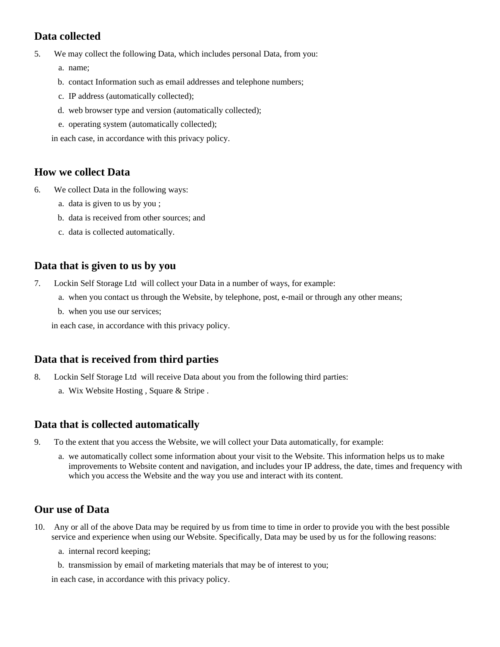## **Data collected**

- 5. We may collect the following Data, which includes personal Data, from you:
	- a. name;
	- b. contact Information such as email addresses and telephone numbers;
	- c. IP address (automatically collected);
	- d. web browser type and version (automatically collected);
	- e. operating system (automatically collected);

in each case, in accordance with this privacy policy.

## **How we collect Data**

- 6. We collect Data in the following ways:
	- a. data is given to us by you ;
	- b. data is received from other sources; and
	- c. data is collected automatically.

#### **Data that is given to us by you**

- 7. Lockin Self Storage Ltd will collect your Data in a number of ways, for example:
	- a. when you contact us through the Website, by telephone, post, e-mail or through any other means;
	- b. when you use our services;

in each case, in accordance with this privacy policy.

# **Data that is received from third parties**

- 8. Lockin Self Storage Ltd will receive Data about you from the following third parties:
	- a. Wix Website Hosting , Square & Stripe .

#### **Data that is collected automatically**

- 9. To the extent that you access the Website, we will collect your Data automatically, for example:
	- a. we automatically collect some information about your visit to the Website. This information helps us to make improvements to Website content and navigation, and includes your IP address, the date, times and frequency with which you access the Website and the way you use and interact with its content.

# **Our use of Data**

- 10. Any or all of the above Data may be required by us from time to time in order to provide you with the best possible service and experience when using our Website. Specifically, Data may be used by us for the following reasons:
	- a. internal record keeping;
	- b. transmission by email of marketing materials that may be of interest to you;

in each case, in accordance with this privacy policy.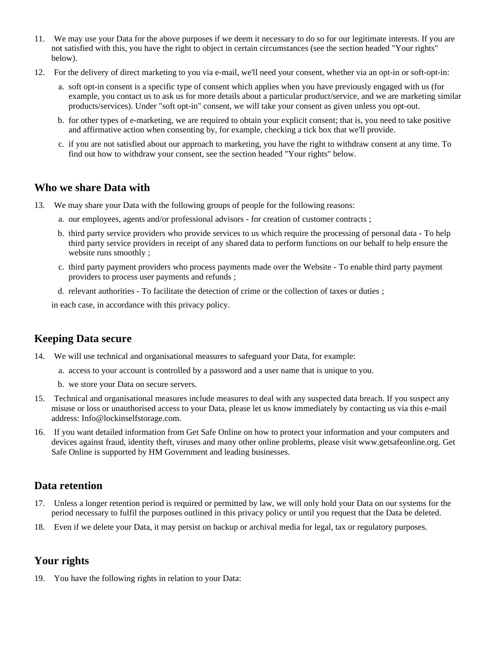- 11. We may use your Data for the above purposes if we deem it necessary to do so for our legitimate interests. If you are not satisfied with this, you have the right to object in certain circumstances (see the section headed "Your rights" below).
- 12. For the delivery of direct marketing to you via e-mail, we'll need your consent, whether via an opt-in or soft-opt-in:
	- a. soft opt-in consent is a specific type of consent which applies when you have previously engaged with us (for example, you contact us to ask us for more details about a particular product/service, and we are marketing similar products/services). Under "soft opt-in" consent, we will take your consent as given unless you opt-out.
	- b. for other types of e-marketing, we are required to obtain your explicit consent; that is, you need to take positive and affirmative action when consenting by, for example, checking a tick box that we'll provide.
	- c. if you are not satisfied about our approach to marketing, you have the right to withdraw consent at any time. To find out how to withdraw your consent, see the section headed "Your rights" below.

#### **Who we share Data with**

- 13. We may share your Data with the following groups of people for the following reasons:
	- a. our employees, agents and/or professional advisors for creation of customer contracts ;
	- b. third party service providers who provide services to us which require the processing of personal data To help third party service providers in receipt of any shared data to perform functions on our behalf to help ensure the website runs smoothly ;
	- c. third party payment providers who process payments made over the Website To enable third party payment providers to process user payments and refunds ;
	- d. relevant authorities To facilitate the detection of crime or the collection of taxes or duties ;

in each case, in accordance with this privacy policy.

#### **Keeping Data secure**

- 14. We will use technical and organisational measures to safeguard your Data, for example:
	- a. access to your account is controlled by a password and a user name that is unique to you.
	- b. we store your Data on secure servers.
- 15. Technical and organisational measures include measures to deal with any suspected data breach. If you suspect any misuse or loss or unauthorised access to your Data, please let us know immediately by contacting us via this e-mail address: Info@lockinselfstorage.com.
- 16. If you want detailed information from Get Safe Online on how to protect your information and your computers and devices against fraud, identity theft, viruses and many other online problems, please visit www.getsafeonline.org. Get Safe Online is supported by HM Government and leading businesses.

#### **Data retention**

- 17. Unless a longer retention period is required or permitted by law, we will only hold your Data on our systems for the period necessary to fulfil the purposes outlined in this privacy policy or until you request that the Data be deleted.
- 18. Even if we delete your Data, it may persist on backup or archival media for legal, tax or regulatory purposes.

# **Your rights**

19. You have the following rights in relation to your Data: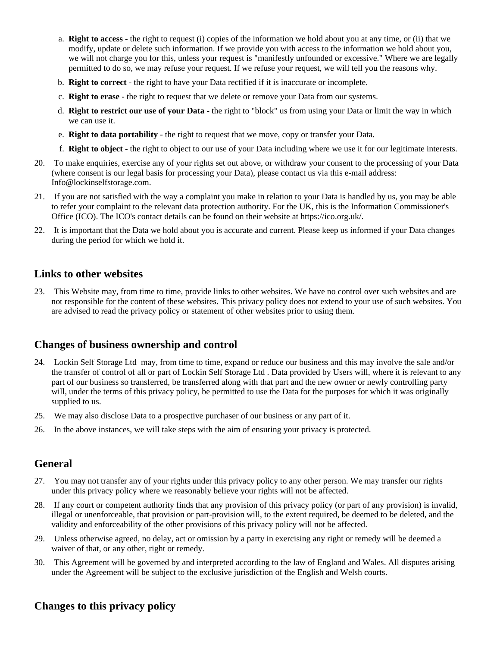- a. **Right to access** the right to request (i) copies of the information we hold about you at any time, or (ii) that we modify, update or delete such information. If we provide you with access to the information we hold about you, we will not charge you for this, unless your request is "manifestly unfounded or excessive." Where we are legally permitted to do so, we may refuse your request. If we refuse your request, we will tell you the reasons why.
- b. **Right to correct** the right to have your Data rectified if it is inaccurate or incomplete.
- c. **Right to erase** the right to request that we delete or remove your Data from our systems.
- d. **Right to restrict our use of your Data** the right to "block" us from using your Data or limit the way in which we can use it.
- e. **Right to data portability** the right to request that we move, copy or transfer your Data.
- f. **Right to object** the right to object to our use of your Data including where we use it for our legitimate interests.
- 20. To make enquiries, exercise any of your rights set out above, or withdraw your consent to the processing of your Data (where consent is our legal basis for processing your Data), please contact us via this e-mail address: Info@lockinselfstorage.com.
- 21. If you are not satisfied with the way a complaint you make in relation to your Data is handled by us, you may be able to refer your complaint to the relevant data protection authority. For the UK, this is the Information Commissioner's Office (ICO). The ICO's contact details can be found on their website at https://ico.org.uk/.
- 22. It is important that the Data we hold about you is accurate and current. Please keep us informed if your Data changes during the period for which we hold it.

#### **Links to other websites**

23. This Website may, from time to time, provide links to other websites. We have no control over such websites and are not responsible for the content of these websites. This privacy policy does not extend to your use of such websites. You are advised to read the privacy policy or statement of other websites prior to using them.

#### **Changes of business ownership and control**

- 24. Lockin Self Storage Ltd may, from time to time, expand or reduce our business and this may involve the sale and/or the transfer of control of all or part of Lockin Self Storage Ltd . Data provided by Users will, where it is relevant to any part of our business so transferred, be transferred along with that part and the new owner or newly controlling party will, under the terms of this privacy policy, be permitted to use the Data for the purposes for which it was originally supplied to us.
- 25. We may also disclose Data to a prospective purchaser of our business or any part of it.
- 26. In the above instances, we will take steps with the aim of ensuring your privacy is protected.

#### **General**

- 27. You may not transfer any of your rights under this privacy policy to any other person. We may transfer our rights under this privacy policy where we reasonably believe your rights will not be affected.
- 28. If any court or competent authority finds that any provision of this privacy policy (or part of any provision) is invalid, illegal or unenforceable, that provision or part-provision will, to the extent required, be deemed to be deleted, and the validity and enforceability of the other provisions of this privacy policy will not be affected.
- 29. Unless otherwise agreed, no delay, act or omission by a party in exercising any right or remedy will be deemed a waiver of that, or any other, right or remedy.
- 30. This Agreement will be governed by and interpreted according to the law of England and Wales. All disputes arising under the Agreement will be subject to the exclusive jurisdiction of the English and Welsh courts.

#### **Changes to this privacy policy**